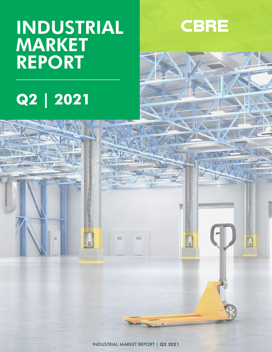## INDUSTRIAL MARKET REPORT





m

**NFZ**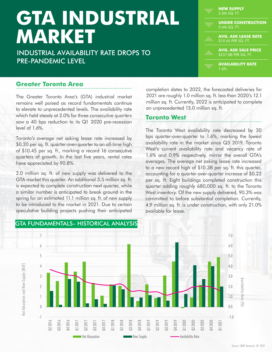# **GTA INDUSTRIAL MARKET**

INDUSTRIAL AVAILABILITY RATE DROPS TO PRE-PANDEMIC LEVEL

| <b>NEW SUPPLY</b><br>2.0M SQ. FT.                  |
|----------------------------------------------------|
| <b>UNDER CONSTRUCTION</b><br>19.4M SQ. FT.         |
| <b>AVG. ASK LEASE RATE</b><br>\$10.45 PER SQ. FT.  |
| <b>AVG. ASK SALE PRICE</b><br>\$257.88 PER SQ. FT. |
| <b>AVAILABILITY RATE</b><br>1.6%                   |

#### **Greater Toronto Area**

The Greater Toronto Area's (GTA) industrial market remains well poised as record fundamentals continue to elevate to unprecedented levels. The availability rate which held steady at 2.0% for three consecutive quarters saw a 40 bps reduction to its Q1 2020 pre-recession level of 1.6%.

Toronto's average net asking lease rate increased by \$0.20 per sq. ft. quarter-over-quarter to an all-time high of \$10.45 per sq. ft., marking a record 16 consecutive quarters of growth. In the last five years, rental rates have appreciated by 90.8%.

2.0 million sq. ft. of new supply was delivered to the GTA market this quarter. An additional 3.5 million sq. ft. is expected to complete construction next quarter, while a similar number is anticipated to break ground in the spring for an estimated 11.1 million sq. ft. of new supply to be introduced to the market in 2021. Due to certain speculative building projects pushing their anticipated

completion dates to 2022, the forecasted deliveries for 2021 are roughly 1.0 million sq. ft. less than 2020's 12.1 million sq. ft. Currently, 2022 is anticipated to complete an unprecedented 15.0 million sq. ft.

#### **Toronto West**

The Toronto West availability rate decreased by 30 bps quarter-over-quarter to 1.6%, marking the lowest availability rate in the market since Q3 2019. Toronto West's current availability rate and vacancy rate of 1.6% and 0.9% respectively, mirror the overall GTA's averages. The average net asking lease rate increased to a new record high of \$10.38 per sq. ft. this quarter, accounting for a quarter-over-quarter increase of \$0.22 per sq. ft. Eight buildings completed construction this quarter adding roughly 680,000 sq. ft. to the Toronto West inventory. Of the new supply delivered, 90.3% was committed to before substantial completion. Currently, 4.9 million sq. ft. is under construction, with only 21.0% available for lease.



#### GTA FUNDAMENTALS– HISTORICAL ANALYSIS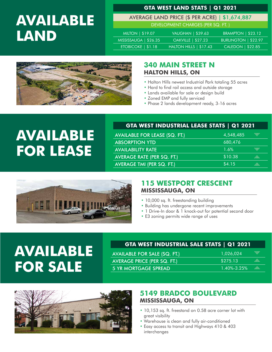### **AVAILABLE LAND**

#### **GTA WEST LAND STATS | Q1 2021**

AVERAGE LAND PRICE (\$ PER ACRE) | \$1,674,887

| AUL LAIND I NICE (9 I LA ACAL)   91, |  |  |
|--------------------------------------|--|--|
| DEVELOPMENT CHARGES (PER SQ. FT.)    |  |  |

| MILTON   \$19.07      | VAUGHAN   \$39.63         | <b>BRAMPTON   \$23.12</b>   |  |
|-----------------------|---------------------------|-----------------------------|--|
| MISSISSAUGA   \$26.35 | <b>OAKVILLE   \$27.23</b> | <b>BURLINGTON   \$22.97</b> |  |
| ETOBICOKE $  $1.18$   | HALTON HILLS   \$17.43    | CALEDON   \$22.85           |  |



#### **340 MAIN STREET N HALTON HILLS, ON**

- Halton Hills newest Industrial Park totaling 55 acres
- Hard to find rail access and outside storage
- Lands available for sale or design build
- Zoned EMP and fully serviced
- Phase 2 lands development ready, 3-16 acres

### **AVAILABLE FOR LEASE**

#### **GTA WEST INDUSTRIAL LEASE STATS | Q1 2021**

| <b>AVAILABLE FOR LEASE (SQ. FT.)</b> | 4,548,485 | q          |
|--------------------------------------|-----------|------------|
| <b>ABSORPTION YTD</b>                | 680,476   |            |
| <b>AVAILABILITY RATE</b>             | 1.6%      | <u>uma</u> |
| <b>AVERAGE RATE (PER SQ. FT.)</b>    | \$10.38   |            |
| <b>AVERAGE TMI (PER SQ. FT.)</b>     | \$4.15    |            |



#### **115 WESTPORT CRESCENT MISSISSAUGA, ON**

- 10,000 sq. ft. freestanding building
- Building has undergone recent improvements
- 1 Drive-In door & 1 knock-out for potential second door

aile.

• E3 zoning permits wide range of uses

### **AVAILARE FOR LEASE AVAILABLE FOR SALE**

#### **GTA WEST INDUSTRIAL SALE STATS | Q1 2021**

| AVAILABLE FOR SALE (SQ. FT.) | 1,026,024   |
|------------------------------|-------------|
| AVERAGE PRICE (PER SQ. FT.)  | \$275.13    |
| 5 YR MORTGAGE SPREAD         | 1.40%-3.25% |



#### **5149 BRADCO BOULEVARD MISSISSAUGA, ON**

- 10,153 sq. ft. freestand on 0.58 acre corner lot with great visibility
- Warehouse is clean and fully air-conditioned
- Easy access to transit and Highways 410 & 403 interchanges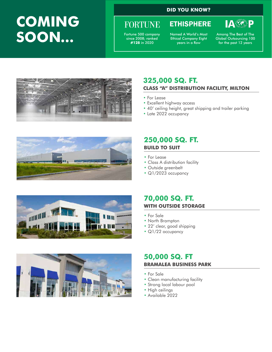### **COMING SOON...**

#### **DID YOU KNOW?**

### **FORTUNE**

Fortune 500 company since 2008; ranked **#128** in 2020

Named A World's Most Ethical Company Eight years in a Row

**ETHISPHERE** 

Among The Best of The Global Outsourcing 100 for the past 12 years

**IA®P** 



#### **325,000 SQ. FT. CLASS "A" DISTRIBUTION FACILITY, MILTON**

- For Lease
- Excellent highway access
- 40' ceiling height, great shipping and trailer parking
- Late 2022 occupancy



#### **250,000 SQ. FT. BUILD TO SUIT**

- For Lease
- Class A distribution facility
- Outside greenbelt
- Q1/2023 occupancy





#### **70,000 SQ. FT. WITH OUTSIDE STORAGE**

- For Sale
- North Brampton
- 22' clear, good shipping
- Q1/22 occupancy

#### **50,000 SQ. FT BRAMALEA BUSINESS PARK**

- For Sale
- Clean manufacturing facility
- Strong local labour pool
- High ceilings
- Available 2022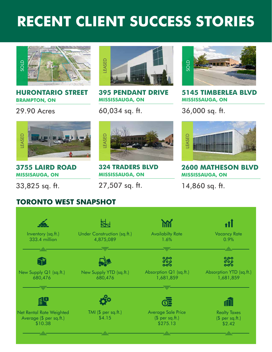### **RECENT CLIENT SUCCESS STORIES**



#### **HURONTARIO STREET BRAMPTON, ON**

29.90 Acres



**395 PENDANT DRIVE MISSISSAUGA, ON**

60,034 sq. ft.



**5145 TIMBERLEA BLVD MISSISSAUGA, ON**

36,000 sq. ft.



**3755 LAIRD ROAD MISSISAUGA, ON**

33,825 sq. ft.



**324 TRADERS BLVD MISSISSAUGA, ON**

27,507 sq. ft.



**2600 MATHESON BLVD MISSISSAUGA, ON**

14,860 sq. ft.

#### **TORONTO WEST SNAPSHOT**

| Inventory (sq.ft.)<br>333.4 million                            | Under Construction (sq.ft.)<br>4,875,089 | <b>Availabilty Rate</b><br>1.6%                   | <b>Vacancy Rate</b><br>0.9%                      |
|----------------------------------------------------------------|------------------------------------------|---------------------------------------------------|--------------------------------------------------|
| -                                                              | <b><u>THEFT</u></b>                      | -                                                 |                                                  |
|                                                                |                                          | ၀၀၀<br>၀၀၀                                        | ၀၀၀<br>၀၀၀                                       |
| New Supply Q1 (sq.ft.)<br>680,476                              | New Supply YTD (sq.ft.)<br>680,476       | Absorption Q1 (sq.ft.)<br>1,681,859               | Absorption YTD (sq.ft.)<br>1,681,859             |
|                                                                |                                          | -:::::                                            |                                                  |
|                                                                |                                          |                                                   |                                                  |
| Net Rental Rate Weighted<br>Average (\$ per sq.ft.)<br>\$10.38 | TMI $(\$ per sq.fit.)$<br>\$4.15         | Average Sale Price<br>$$$ per sq.ft.)<br>\$275.13 | <b>Realty Taxes</b><br>$$$ per sq.ft.)<br>\$2.42 |
|                                                                |                                          |                                                   |                                                  |